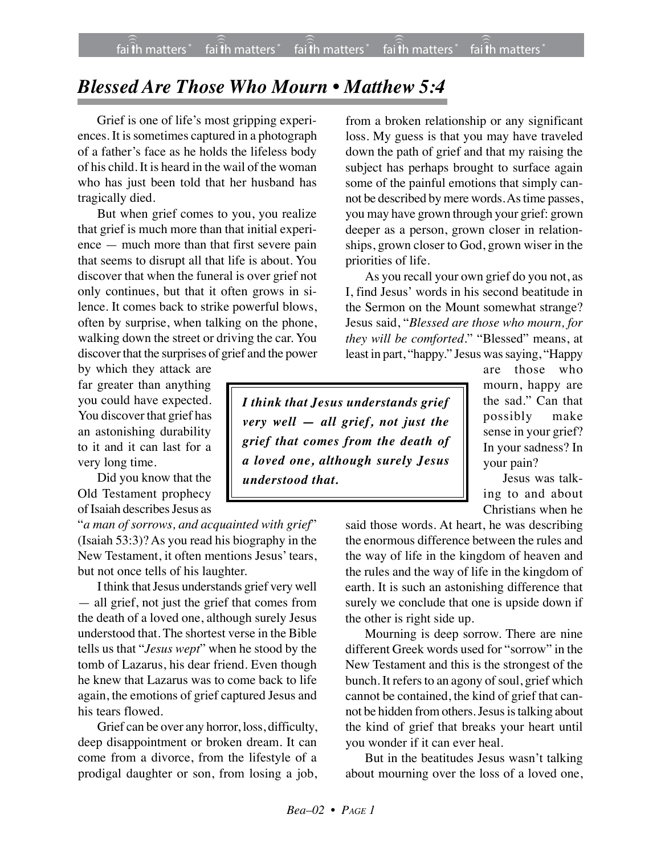## *Blessed Are Those Who Mourn • Matthew 5:4*

Grief is one of life's most gripping experiences. It is sometimes captured in a photograph of a father's face as he holds the lifeless body of his child. It is heard in the wail of the woman who has just been told that her husband has tragically died.

But when grief comes to you, you realize that grief is much more than that initial experience — much more than that first severe pain that seems to disrupt all that life is about. You discover that when the funeral is over grief not only continues, but that it often grows in silence. It comes back to strike powerful blows, often by surprise, when talking on the phone, walking down the street or driving the car. You discover that the surprises of grief and the power

by which they attack are far greater than anything you could have expected. You discover that grief has an astonishing durability to it and it can last for a very long time.

Did you know that the Old Testament prophecy of Isaiah describes Jesus as

"*a man of sorrows, and acquainted with grief*" (Isaiah 53:3)? As you read his biography in the New Testament, it often mentions Jesus' tears, but not once tells of his laughter.

I think that Jesus understands grief very well — all grief, not just the grief that comes from the death of a loved one, although surely Jesus understood that. The shortest verse in the Bible tells us that "*Jesus wept*" when he stood by the tomb of Lazarus, his dear friend. Even though he knew that Lazarus was to come back to life again, the emotions of grief captured Jesus and his tears flowed.

Grief can be over any horror, loss, difficulty, deep disappointment or broken dream. It can come from a divorce, from the lifestyle of a prodigal daughter or son, from losing a job,

from a broken relationship or any significant loss. My guess is that you may have traveled down the path of grief and that my raising the subject has perhaps brought to surface again some of the painful emotions that simply cannot be described by mere words.Astime passes, you may have grown through your grief: grown deeper as a person, grown closer in relationships, grown closer to God, grown wiser in the priorities of life.

As you recall your own grief do you not, as I, find Jesus' words in his second beatitude in the Sermon on the Mount somewhat strange? Jesus said, "*Blessed are those who mourn, for they will be comforted*." "Blessed" means, at least in part, "happy." Jesus was saying, "Happy

*I think that Jesus understands grief very well — all grief, not just the grief that comes from the death of a loved one, although surely Jesus understood that.*

are those who mourn, happy are the sad." Can that possibly make sense in your grief? In your sadness? In your pain?

Jesus was talking to and about Christians when he

said those words. At heart, he was describing the enormous difference between the rules and the way of life in the kingdom of heaven and the rules and the way of life in the kingdom of earth. It is such an astonishing difference that surely we conclude that one is upside down if the other is right side up.

Mourning is deep sorrow. There are nine different Greek words used for "sorrow" in the New Testament and this is the strongest of the bunch. It refers to an agony of soul, grief which cannot be contained, the kind of grief that cannot be hidden from others. Jesus is talking about the kind of grief that breaks your heart until you wonder if it can ever heal.

But in the beatitudes Jesus wasn't talking about mourning over the loss of a loved one,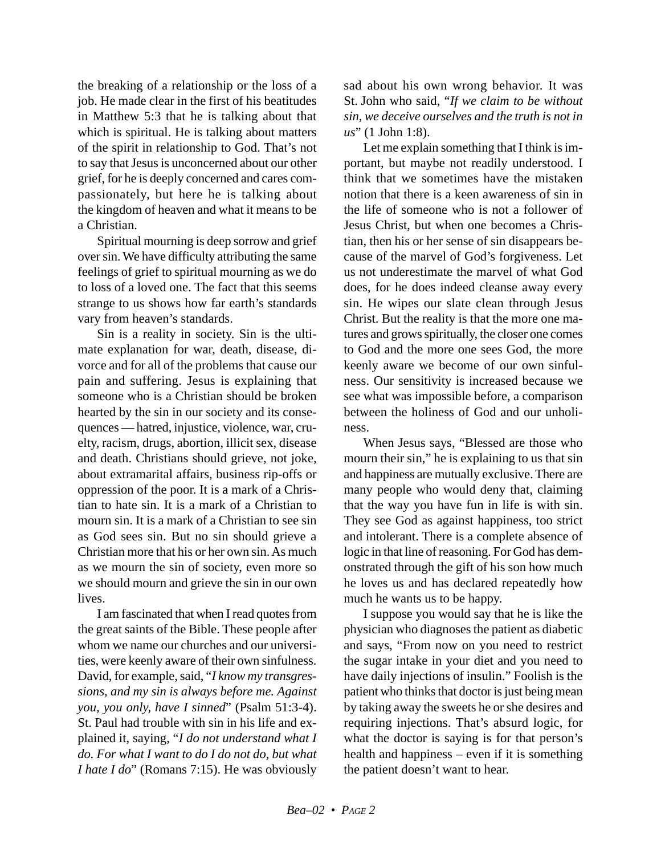the breaking of a relationship or the loss of a job. He made clear in the first of his beatitudes in Matthew 5:3 that he is talking about that which is spiritual. He is talking about matters of the spirit in relationship to God. That's not to say that Jesus is unconcerned about our other grief, for he is deeply concerned and cares compassionately, but here he is talking about the kingdom of heaven and what it means to be a Christian.

Spiritual mourning is deep sorrow and grief over sin. We have difficulty attributing the same feelings of grief to spiritual mourning as we do to loss of a loved one. The fact that this seems strange to us shows how far earth's standards vary from heaven's standards.

Sin is a reality in society. Sin is the ultimate explanation for war, death, disease, divorce and for all of the problems that cause our pain and suffering. Jesus is explaining that someone who is a Christian should be broken hearted by the sin in our society and its consequences — hatred, injustice, violence, war, cruelty, racism, drugs, abortion, illicit sex, disease and death. Christians should grieve, not joke, about extramarital affairs, business rip-offs or oppression of the poor. It is a mark of a Christian to hate sin. It is a mark of a Christian to mourn sin. It is a mark of a Christian to see sin as God sees sin. But no sin should grieve a Christian more that his or her own sin. As much as we mourn the sin of society, even more so we should mourn and grieve the sin in our own lives.

I am fascinated that when I read quotes from the great saints of the Bible. These people after whom we name our churches and our universities, were keenly aware of their own sinfulness. David, for example, said, "*I know my transgressions, and my sin is always before me. Against you, you only, have I sinned*" (Psalm 51:3-4). St. Paul had trouble with sin in his life and explained it, saying, "*I do not understand what I do. For what I want to do I do not do, but what I hate I do*" (Romans 7:15). He was obviously sad about his own wrong behavior. It was St. John who said, "*If we claim to be without sin, we deceive ourselves and the truth is not in us*" (1 John 1:8).

Let me explain something that I think is important, but maybe not readily understood. I think that we sometimes have the mistaken notion that there is a keen awareness of sin in the life of someone who is not a follower of Jesus Christ, but when one becomes a Christian, then his or her sense of sin disappears because of the marvel of God's forgiveness. Let us not underestimate the marvel of what God does, for he does indeed cleanse away every sin. He wipes our slate clean through Jesus Christ. But the reality is that the more one matures and grows spiritually, the closer one comes to God and the more one sees God, the more keenly aware we become of our own sinfulness. Our sensitivity is increased because we see what was impossible before, a comparison between the holiness of God and our unholiness.

When Jesus says, "Blessed are those who mourn their sin," he is explaining to us that sin and happiness are mutually exclusive. There are many people who would deny that, claiming that the way you have fun in life is with sin. They see God as against happiness, too strict and intolerant. There is a complete absence of logic in that line of reasoning. For God has demonstrated through the gift of his son how much he loves us and has declared repeatedly how much he wants us to be happy.

I suppose you would say that he is like the physician who diagnoses the patient as diabetic and says, "From now on you need to restrict the sugar intake in your diet and you need to have daily injections of insulin." Foolish is the patient who thinks that doctor is just being mean by taking away the sweets he or she desires and requiring injections. That's absurd logic, for what the doctor is saying is for that person's health and happiness – even if it is something the patient doesn't want to hear.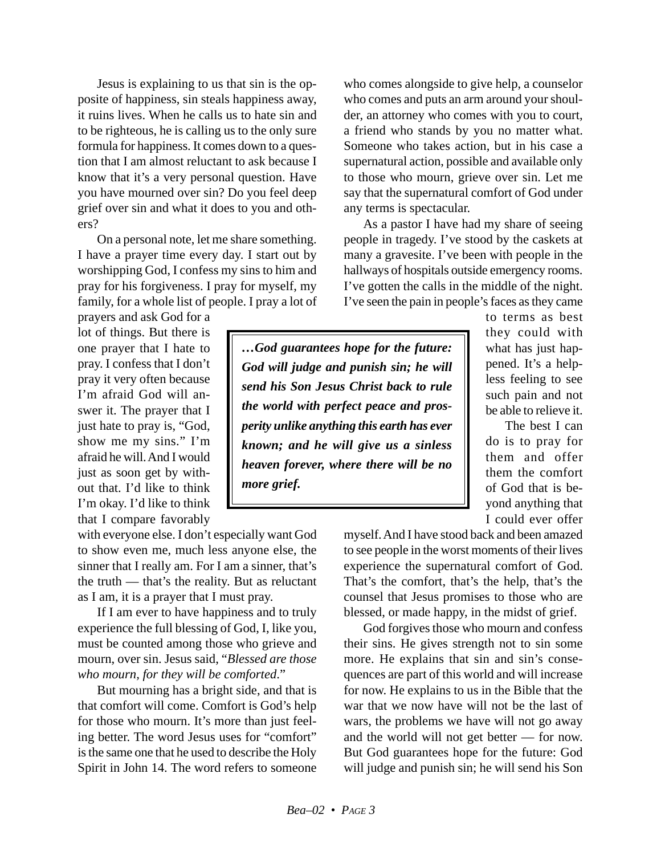Jesus is explaining to us that sin is the opposite of happiness, sin steals happiness away, it ruins lives. When he calls us to hate sin and to be righteous, he is calling us to the only sure formula for happiness. It comes down to a question that I am almost reluctant to ask because I know that it's a very personal question. Have you have mourned over sin? Do you feel deep grief over sin and what it does to you and others?

On a personal note, let me share something. I have a prayer time every day. I start out by worshipping God, I confess my sins to him and pray for his forgiveness. I pray for myself, my family, for a whole list of people. I pray a lot of

prayers and ask God for a lot of things. But there is one prayer that I hate to pray. I confess that I don't pray it very often because I'm afraid God will answer it. The prayer that I just hate to pray is, "God, show me my sins." I'm afraid he will. And I would just as soon get by without that. I'd like to think I'm okay. I'd like to think that I compare favorably

with everyone else. I don't especially want God to show even me, much less anyone else, the sinner that I really am. For I am a sinner, that's the truth — that's the reality. But as reluctant as I am, it is a prayer that I must pray.

If I am ever to have happiness and to truly experience the full blessing of God, I, like you, must be counted among those who grieve and mourn, over sin. Jesus said, "*Blessed are those who mourn, for they will be comforted*."

But mourning has a bright side, and that is that comfort will come. Comfort is God's help for those who mourn. It's more than just feeling better. The word Jesus uses for "comfort" is the same one that he used to describe the Holy Spirit in John 14. The word refers to someone

who comes alongside to give help, a counselor who comes and puts an arm around your shoulder, an attorney who comes with you to court, a friend who stands by you no matter what. Someone who takes action, but in his case a supernatural action, possible and available only to those who mourn, grieve over sin. Let me say that the supernatural comfort of God under any terms is spectacular.

As a pastor I have had my share of seeing people in tragedy. I've stood by the caskets at many a gravesite. I've been with people in the hallways of hospitals outside emergency rooms. I've gotten the calls in the middle of the night. I've seen the pain in people's faces as they came

*…God guarantees hope for the future: God will judge and punish sin; he will send his Son Jesus Christ back to rule the world with perfect peace and prosperity unlike anything this earth has ever known; and he will give us a sinless heaven forever, where there will be no more grief.*

to terms as best they could with what has just happened. It's a helpless feeling to see such pain and not be able to relieve it.

The best I can do is to pray for them and offer them the comfort of God that is beyond anything that I could ever offer

myself. And I have stood back and been amazed to see people in the worst moments of their lives experience the supernatural comfort of God. That's the comfort, that's the help, that's the counsel that Jesus promises to those who are blessed, or made happy, in the midst of grief.

God forgives those who mourn and confess their sins. He gives strength not to sin some more. He explains that sin and sin's consequences are part of this world and will increase for now. He explains to us in the Bible that the war that we now have will not be the last of wars, the problems we have will not go away and the world will not get better — for now. But God guarantees hope for the future: God will judge and punish sin; he will send his Son